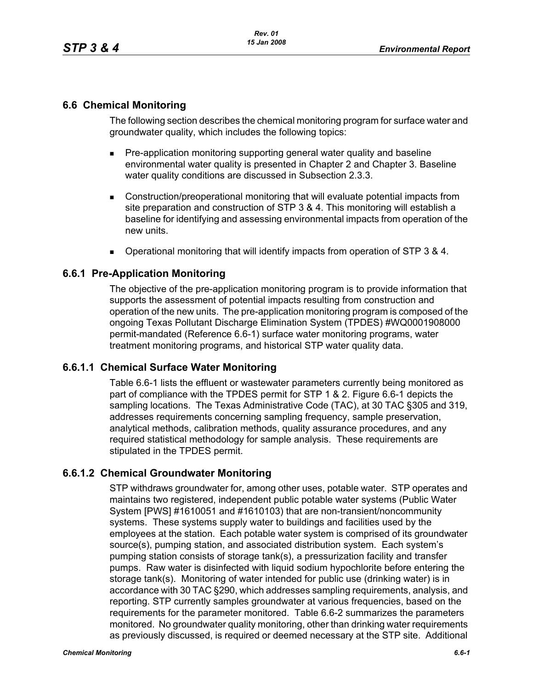## **6.6 Chemical Monitoring**

The following section describes the chemical monitoring program for surface water and groundwater quality, which includes the following topics:

- **Pre-application monitoring supporting general water quality and baseline** environmental water quality is presented in Chapter 2 and Chapter 3. Baseline water quality conditions are discussed in Subsection 2.3.3.
- Construction/preoperational monitoring that will evaluate potential impacts from site preparation and construction of STP 3 & 4. This monitoring will establish a baseline for identifying and assessing environmental impacts from operation of the new units.
- Operational monitoring that will identify impacts from operation of STP 3 & 4.

#### **6.6.1 Pre-Application Monitoring**

The objective of the pre-application monitoring program is to provide information that supports the assessment of potential impacts resulting from construction and operation of the new units. The pre-application monitoring program is composed of the ongoing Texas Pollutant Discharge Elimination System (TPDES) #WQ0001908000 permit-mandated (Reference 6.6-1) surface water monitoring programs, water treatment monitoring programs, and historical STP water quality data.

#### **6.6.1.1 Chemical Surface Water Monitoring**

Table 6.6-1 lists the effluent or wastewater parameters currently being monitored as part of compliance with the TPDES permit for STP 1 & 2. Figure 6.6-1 depicts the sampling locations. The Texas Administrative Code (TAC), at 30 TAC §305 and 319, addresses requirements concerning sampling frequency, sample preservation, analytical methods, calibration methods, quality assurance procedures, and any required statistical methodology for sample analysis. These requirements are stipulated in the TPDES permit.

## **6.6.1.2 Chemical Groundwater Monitoring**

STP withdraws groundwater for, among other uses, potable water. STP operates and maintains two registered, independent public potable water systems (Public Water System [PWS] #1610051 and #1610103) that are non-transient/noncommunity systems. These systems supply water to buildings and facilities used by the employees at the station. Each potable water system is comprised of its groundwater source(s), pumping station, and associated distribution system. Each system's pumping station consists of storage tank(s), a pressurization facility and transfer pumps. Raw water is disinfected with liquid sodium hypochlorite before entering the storage tank(s). Monitoring of water intended for public use (drinking water) is in accordance with 30 TAC §290, which addresses sampling requirements, analysis, and reporting. STP currently samples groundwater at various frequencies, based on the requirements for the parameter monitored. Table 6.6-2 summarizes the parameters monitored. No groundwater quality monitoring, other than drinking water requirements as previously discussed, is required or deemed necessary at the STP site. Additional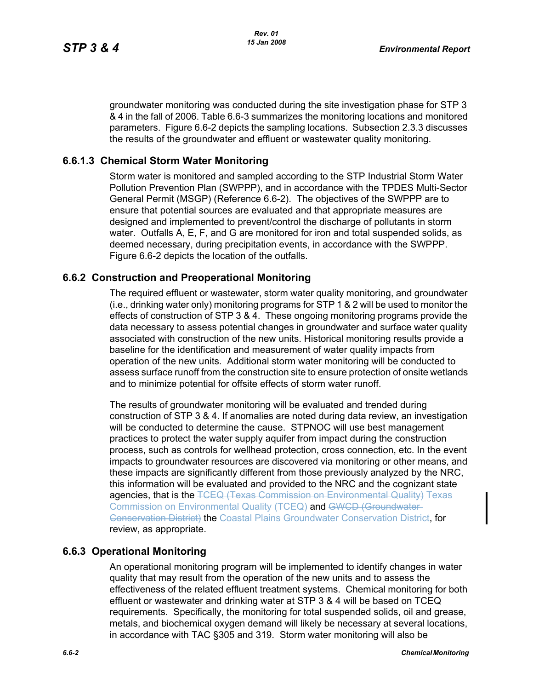groundwater monitoring was conducted during the site investigation phase for STP 3 & 4 in the fall of 2006. Table 6.6-3 summarizes the monitoring locations and monitored parameters. Figure 6.6-2 depicts the sampling locations. Subsection 2.3.3 discusses the results of the groundwater and effluent or wastewater quality monitoring.

## **6.6.1.3 Chemical Storm Water Monitoring**

Storm water is monitored and sampled according to the STP Industrial Storm Water Pollution Prevention Plan (SWPPP), and in accordance with the TPDES Multi-Sector General Permit (MSGP) (Reference 6.6-2). The objectives of the SWPPP are to ensure that potential sources are evaluated and that appropriate measures are designed and implemented to prevent/control the discharge of pollutants in storm water. Outfalls A, E, F, and G are monitored for iron and total suspended solids, as deemed necessary, during precipitation events, in accordance with the SWPPP. Figure 6.6-2 depicts the location of the outfalls.

#### **6.6.2 Construction and Preoperational Monitoring**

The required effluent or wastewater, storm water quality monitoring, and groundwater (i.e., drinking water only) monitoring programs for STP 1 & 2 will be used to monitor the effects of construction of STP 3 & 4. These ongoing monitoring programs provide the data necessary to assess potential changes in groundwater and surface water quality associated with construction of the new units. Historical monitoring results provide a baseline for the identification and measurement of water quality impacts from operation of the new units. Additional storm water monitoring will be conducted to assess surface runoff from the construction site to ensure protection of onsite wetlands and to minimize potential for offsite effects of storm water runoff.

The results of groundwater monitoring will be evaluated and trended during construction of STP 3 & 4. If anomalies are noted during data review, an investigation will be conducted to determine the cause. STPNOC will use best management practices to protect the water supply aquifer from impact during the construction process, such as controls for wellhead protection, cross connection, etc. In the event impacts to groundwater resources are discovered via monitoring or other means, and these impacts are significantly different from those previously analyzed by the NRC, this information will be evaluated and provided to the NRC and the cognizant state agencies, that is the TCEQ (Texas Commission on Environmental Quality) Texas Commission on Environmental Quality (TCEQ) and GWCD (Groundwater-**Conservation District) the Coastal Plains Groundwater Conservation District, for** review, as appropriate.

## **6.6.3 Operational Monitoring**

An operational monitoring program will be implemented to identify changes in water quality that may result from the operation of the new units and to assess the effectiveness of the related effluent treatment systems. Chemical monitoring for both effluent or wastewater and drinking water at STP 3 & 4 will be based on TCEQ requirements. Specifically, the monitoring for total suspended solids, oil and grease, metals, and biochemical oxygen demand will likely be necessary at several locations, in accordance with TAC §305 and 319. Storm water monitoring will also be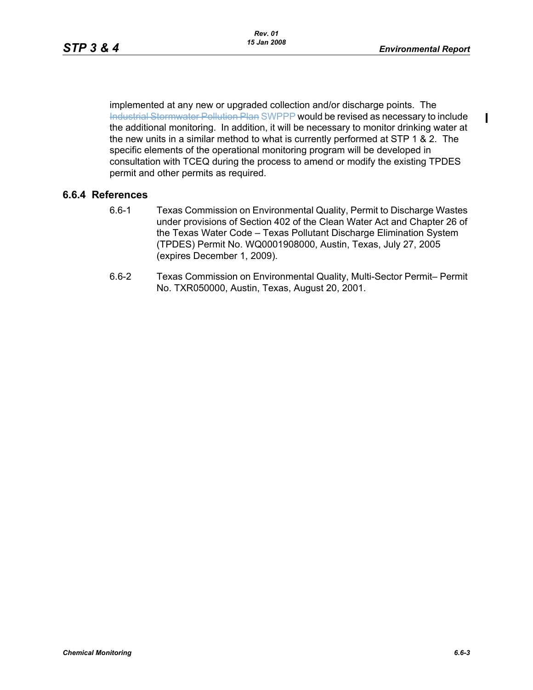П

implemented at any new or upgraded collection and/or discharge points. The Industrial Stormwater Pollution Plan SWPPP would be revised as necessary to include the additional monitoring. In addition, it will be necessary to monitor drinking water at the new units in a similar method to what is currently performed at STP 1 & 2. The specific elements of the operational monitoring program will be developed in consultation with TCEQ during the process to amend or modify the existing TPDES permit and other permits as required.

#### **6.6.4 References**

- 6.6-1 Texas Commission on Environmental Quality, Permit to Discharge Wastes under provisions of Section 402 of the Clean Water Act and Chapter 26 of the Texas Water Code – Texas Pollutant Discharge Elimination System (TPDES) Permit No. WQ0001908000, Austin, Texas, July 27, 2005 (expires December 1, 2009).
- 6.6-2 Texas Commission on Environmental Quality, Multi-Sector Permit– Permit No. TXR050000, Austin, Texas, August 20, 2001.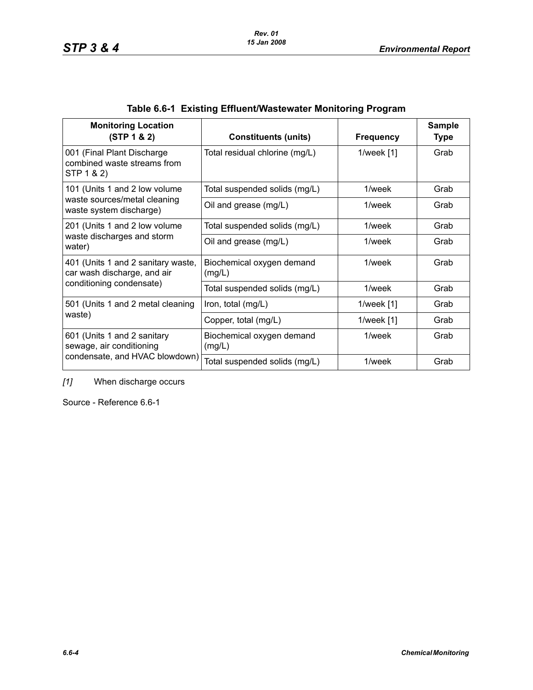| <b>Monitoring Location</b><br>(STP 1 & 2)                                                     | <b>Constituents (units)</b>         | <b>Frequency</b> | <b>Sample</b><br><b>Type</b> |
|-----------------------------------------------------------------------------------------------|-------------------------------------|------------------|------------------------------|
| 001 (Final Plant Discharge<br>combined waste streams from<br>STP 1 & 2)                       | Total residual chlorine (mg/L)      | 1/week $[1]$     | Grab                         |
| 101 (Units 1 and 2 low volume                                                                 | Total suspended solids (mg/L)       | 1/week           | Grab                         |
| waste sources/metal cleaning<br>waste system discharge)                                       | Oil and grease (mg/L)               | 1/week           | Grab                         |
| 201 (Units 1 and 2 low volume                                                                 | Total suspended solids (mg/L)       | 1/week           | Grab                         |
| waste discharges and storm<br>water)                                                          | Oil and grease (mg/L)               | 1/week           | Grab                         |
| 401 (Units 1 and 2 sanitary waste,<br>car wash discharge, and air<br>conditioning condensate) | Biochemical oxygen demand<br>(mglL) | 1/week           | Grab                         |
|                                                                                               | Total suspended solids (mg/L)       | 1/week           | Grab                         |
| 501 (Units 1 and 2 metal cleaning<br>waste)                                                   | Iron, total (mg/L)                  | 1/week $[1]$     | Grab                         |
|                                                                                               | Copper, total (mg/L)                | $1$ /week $[1]$  | Grab                         |
| 601 (Units 1 and 2 sanitary<br>sewage, air conditioning                                       | Biochemical oxygen demand<br>(mg/L) | 1/week           |                              |
| condensate, and HVAC blowdown)                                                                | Total suspended solids (mg/L)       | 1/week           | Grab                         |

# **Table 6.6-1 Existing Effluent/Wastewater Monitoring Program**

*[1]* When discharge occurs

Source - Reference 6.6-1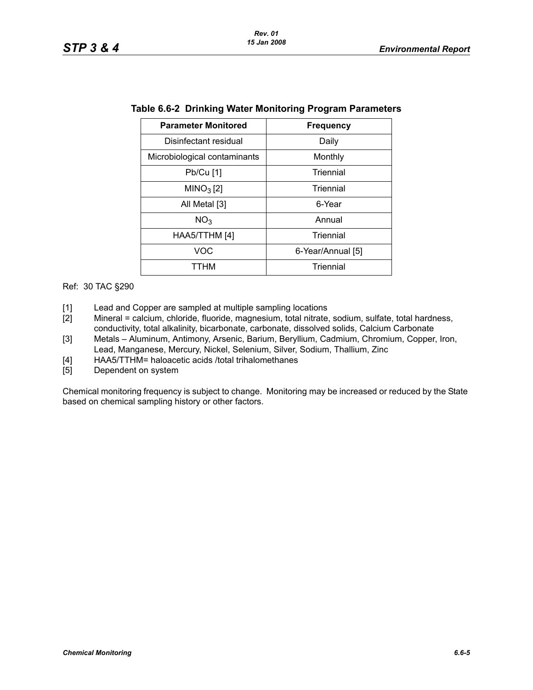| <b>Parameter Monitored</b>   | <b>Frequency</b>  |  |  |
|------------------------------|-------------------|--|--|
| Disinfectant residual        | Daily             |  |  |
| Microbiological contaminants | Monthly           |  |  |
| Pb/Cu [1]                    | Triennial         |  |  |
| MINO <sub>3</sub> [2]        | Triennial         |  |  |
| All Metal [3]                | 6-Year            |  |  |
| NO <sub>3</sub>              | Annual            |  |  |
| HAA5/TTHM [4]                | Triennial         |  |  |
| VOC                          | 6-Year/Annual [5] |  |  |
| ттнм                         | Triennial         |  |  |

|  |  | Table 6.6-2 Drinking Water Monitoring Program Parameters |
|--|--|----------------------------------------------------------|
|  |  |                                                          |

Ref: 30 TAC §290

- [1] Lead and Copper are sampled at multiple sampling locations
- [2] Mineral = calcium, chloride, fluoride, magnesium, total nitrate, sodium, sulfate, total hardness, conductivity, total alkalinity, bicarbonate, carbonate, dissolved solids, Calcium Carbonate
- [3] Metals Aluminum, Antimony, Arsenic, Barium, Beryllium, Cadmium, Chromium, Copper, Iron, Lead, Manganese, Mercury, Nickel, Selenium, Silver, Sodium, Thallium, Zinc
- [4] HAA5/TTHM= haloacetic acids /total trihalomethanes
- [5] Dependent on system

Chemical monitoring frequency is subject to change. Monitoring may be increased or reduced by the State based on chemical sampling history or other factors.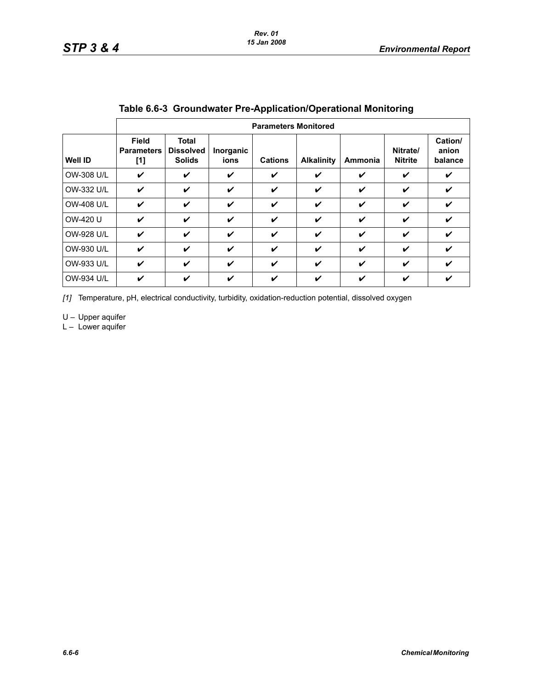|                   | <b>Parameters Monitored</b>                |                                                   |                   |                |                   |                |                            |                             |
|-------------------|--------------------------------------------|---------------------------------------------------|-------------------|----------------|-------------------|----------------|----------------------------|-----------------------------|
| <b>Well ID</b>    | <b>Field</b><br><b>Parameters</b><br>$[1]$ | <b>Total</b><br><b>Dissolved</b><br><b>Solids</b> | Inorganic<br>ions | <b>Cations</b> | <b>Alkalinity</b> | <b>Ammonia</b> | Nitrate/<br><b>Nitrite</b> | Cation/<br>anion<br>balance |
| OW-308 U/L        | V                                          | V                                                 | V                 | V              | ✓                 | ✓              | ✓                          | ✓                           |
| OW-332 U/L        | V                                          | V                                                 | ✓                 | ✓              | ✓                 | ✓              | ✔                          | V                           |
| <b>OW-408 U/L</b> | V                                          | V                                                 | V                 | V              | V                 | V              | V                          | ✓                           |
| OW-420 U          | V                                          | V                                                 | V                 | ✓              | ✓                 | ✓              | ✓                          | ✓                           |
| <b>OW-928 U/L</b> | V                                          | ✓                                                 | ✓                 | ✓              | ✓                 | ✓              | ✓                          | V                           |
| OW-930 U/L        | V                                          | V                                                 | V                 | V              | V                 | V              | V                          | ✓                           |
| OW-933 U/L        | V                                          | ✓                                                 | ✓                 | ✓              | ✓                 | ✔              | ✓                          | ✓                           |
| OW-934 U/L        | V                                          | V                                                 | V                 | V              | V                 | ✔              | ✔                          | ✔                           |

#### **Table 6.6-3 Groundwater Pre-Application/Operational Monitoring**

*[1]* Temperature, pH, electrical conductivity, turbidity, oxidation-reduction potential, dissolved oxygen

U – Upper aquifer

 $L -$  Lower aquifer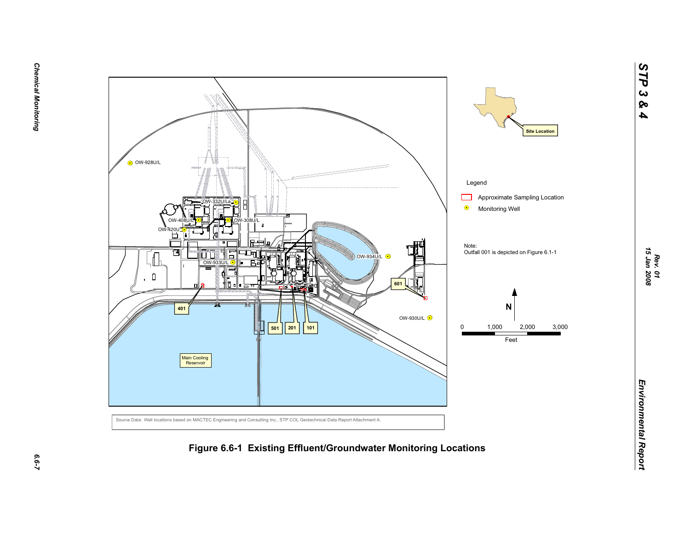



*STP 3 & 4*